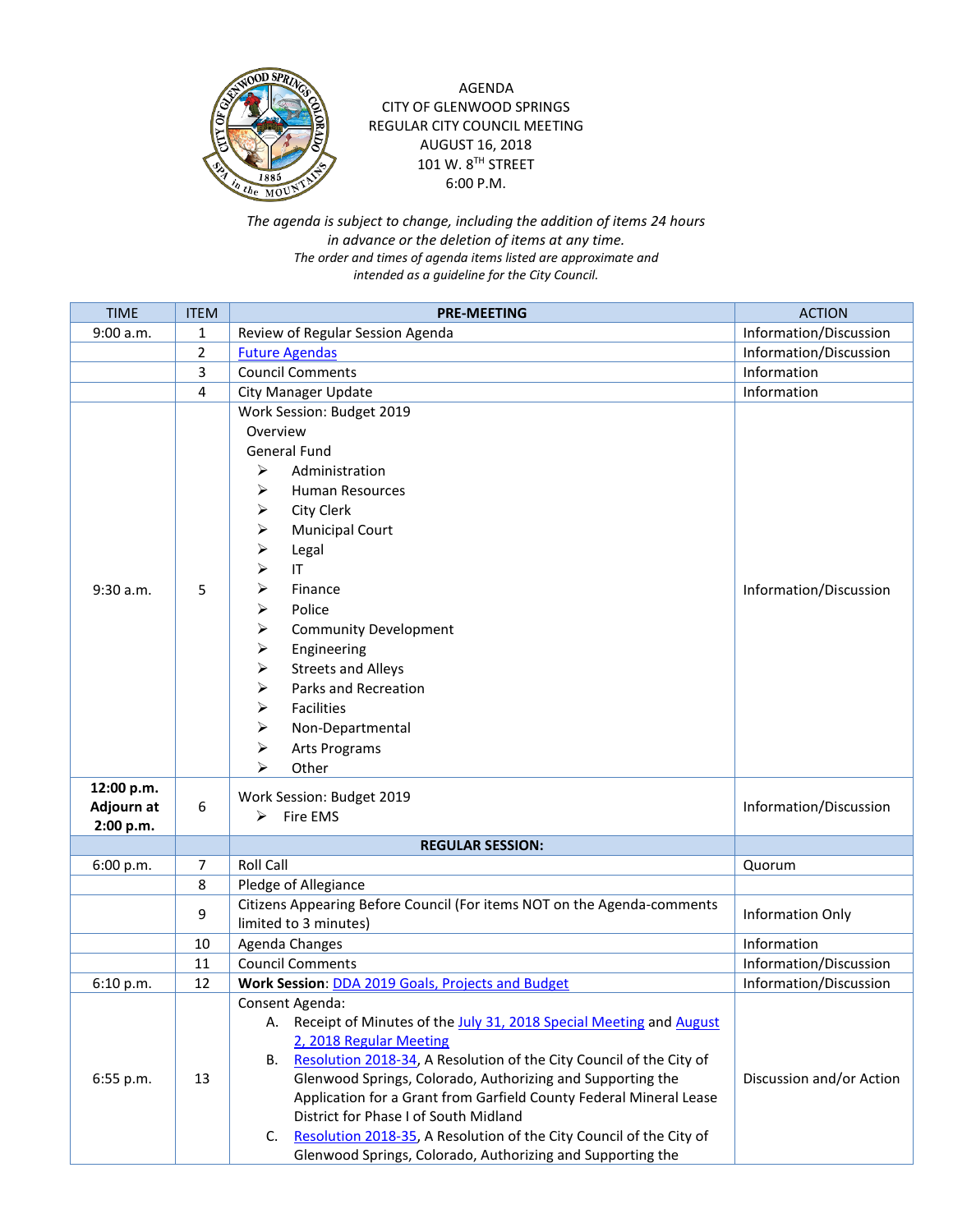

AGENDA CITY OF GLENWOOD SPRINGS REGULAR CITY COUNCIL MEETING AUGUST 16, 2018 101 W. 8TH STREET 6:00 P.M.

*The agenda is subject to change, including the addition of items 24 hours in advance or the deletion of items at any time. The order and times of agenda items listed are approximate and intended as a guideline for the City Council.*

| <b>TIME</b>                           | <b>ITEM</b>    | <b>PRE-MEETING</b>                                                                                                                                                                                                                                                                                                                                                                                                                                                                                                    | <b>ACTION</b>            |
|---------------------------------------|----------------|-----------------------------------------------------------------------------------------------------------------------------------------------------------------------------------------------------------------------------------------------------------------------------------------------------------------------------------------------------------------------------------------------------------------------------------------------------------------------------------------------------------------------|--------------------------|
| 9:00 a.m.                             | 1              | Review of Regular Session Agenda                                                                                                                                                                                                                                                                                                                                                                                                                                                                                      | Information/Discussion   |
|                                       | $\overline{2}$ | <b>Future Agendas</b>                                                                                                                                                                                                                                                                                                                                                                                                                                                                                                 | Information/Discussion   |
|                                       | 3              | <b>Council Comments</b>                                                                                                                                                                                                                                                                                                                                                                                                                                                                                               | Information              |
|                                       | 4              | City Manager Update                                                                                                                                                                                                                                                                                                                                                                                                                                                                                                   | Information              |
| $9:30$ a.m.                           | 5              | Work Session: Budget 2019<br>Overview<br><b>General Fund</b><br>➤<br>Administration<br>➤<br>Human Resources<br>City Clerk<br>⋗<br><b>Municipal Court</b><br>⋗<br>⋗<br>Legal<br>IT<br>➤<br>Finance<br>➤<br>➤<br>Police<br>⋗<br><b>Community Development</b><br>➤<br>Engineering<br><b>Streets and Alleys</b><br>⋗<br>Parks and Recreation<br>≻<br>➤<br>Facilities<br>➤<br>Non-Departmental<br>⋗<br><b>Arts Programs</b><br>⋗<br>Other                                                                                  | Information/Discussion   |
| 12:00 p.m.<br>Adjourn at<br>2:00 p.m. | 6              | Work Session: Budget 2019<br>Fire EMS<br>≻                                                                                                                                                                                                                                                                                                                                                                                                                                                                            | Information/Discussion   |
|                                       |                | <b>REGULAR SESSION:</b>                                                                                                                                                                                                                                                                                                                                                                                                                                                                                               |                          |
| 6:00 p.m.                             | $\overline{7}$ | <b>Roll Call</b>                                                                                                                                                                                                                                                                                                                                                                                                                                                                                                      | Quorum                   |
|                                       | 8              | Pledge of Allegiance                                                                                                                                                                                                                                                                                                                                                                                                                                                                                                  |                          |
|                                       | 9              | Citizens Appearing Before Council (For items NOT on the Agenda-comments<br>limited to 3 minutes)                                                                                                                                                                                                                                                                                                                                                                                                                      | Information Only         |
|                                       | 10             | Agenda Changes                                                                                                                                                                                                                                                                                                                                                                                                                                                                                                        | Information              |
|                                       | 11             | <b>Council Comments</b>                                                                                                                                                                                                                                                                                                                                                                                                                                                                                               | Information/Discussion   |
| 6:10 p.m.                             | 12             | Work Session: DDA 2019 Goals, Projects and Budget                                                                                                                                                                                                                                                                                                                                                                                                                                                                     | Information/Discussion   |
| 6:55 p.m.                             | 13             | Consent Agenda:<br>A. Receipt of Minutes of the July 31, 2018 Special Meeting and August<br>2, 2018 Regular Meeting<br>Resolution 2018-34, A Resolution of the City Council of the City of<br>В.<br>Glenwood Springs, Colorado, Authorizing and Supporting the<br>Application for a Grant from Garfield County Federal Mineral Lease<br>District for Phase I of South Midland<br>C. Resolution 2018-35, A Resolution of the City Council of the City of<br>Glenwood Springs, Colorado, Authorizing and Supporting the | Discussion and/or Action |